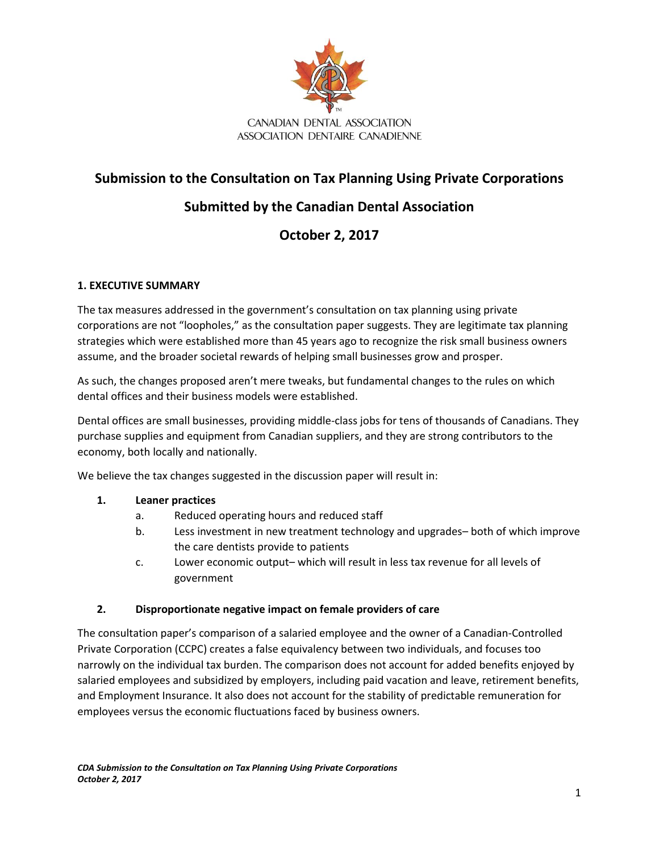

## **Submission to the Consultation on Tax Planning Using Private Corporations**

# **Submitted by the Canadian Dental Association**

# **October 2, 2017**

## **1. EXECUTIVE SUMMARY**

The tax measures addressed in the government's consultation on tax planning using private corporations are not "loopholes," as the consultation paper suggests. They are legitimate tax planning strategies which were established more than 45 years ago to recognize the risk small business owners assume, and the broader societal rewards of helping small businesses grow and prosper.

As such, the changes proposed aren't mere tweaks, but fundamental changes to the rules on which dental offices and their business models were established.

Dental offices are small businesses, providing middle-class jobs for tens of thousands of Canadians. They purchase supplies and equipment from Canadian suppliers, and they are strong contributors to the economy, both locally and nationally.

We believe the tax changes suggested in the discussion paper will result in:

## **1. Leaner practices**

- a. Reduced operating hours and reduced staff
- b. Less investment in new treatment technology and upgrades– both of which improve the care dentists provide to patients
- c. Lower economic output– which will result in less tax revenue for all levels of government

## **2. Disproportionate negative impact on female providers of care**

The consultation paper's comparison of a salaried employee and the owner of a Canadian-Controlled Private Corporation (CCPC) creates a false equivalency between two individuals, and focuses too narrowly on the individual tax burden. The comparison does not account for added benefits enjoyed by salaried employees and subsidized by employers, including paid vacation and leave, retirement benefits, and Employment Insurance. It also does not account for the stability of predictable remuneration for employees versus the economic fluctuations faced by business owners.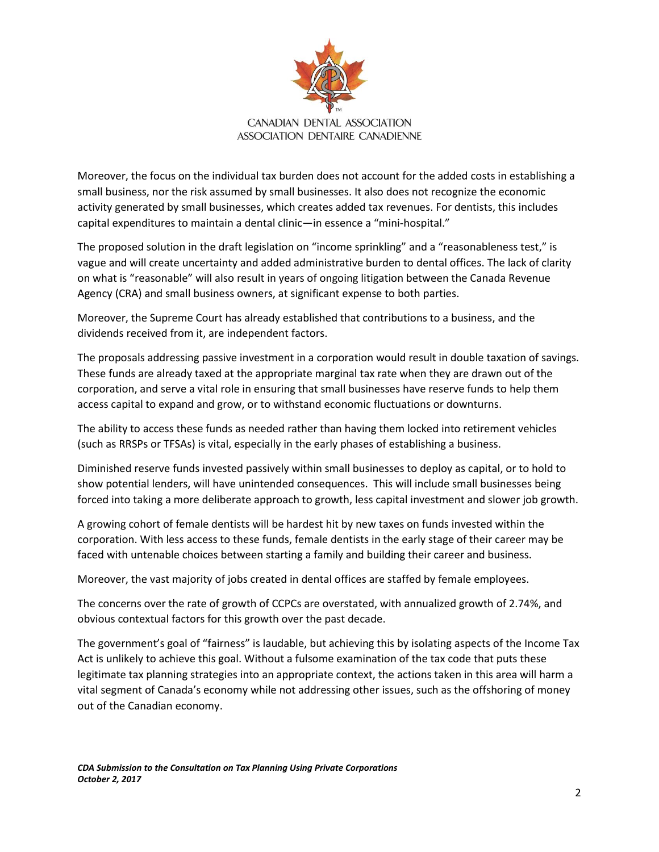

Moreover, the focus on the individual tax burden does not account for the added costs in establishing a small business, nor the risk assumed by small businesses. It also does not recognize the economic activity generated by small businesses, which creates added tax revenues. For dentists, this includes capital expenditures to maintain a dental clinic—in essence a "mini-hospital."

The proposed solution in the draft legislation on "income sprinkling" and a "reasonableness test," is vague and will create uncertainty and added administrative burden to dental offices. The lack of clarity on what is "reasonable" will also result in years of ongoing litigation between the Canada Revenue Agency (CRA) and small business owners, at significant expense to both parties.

Moreover, the Supreme Court has already established that contributions to a business, and the dividends received from it, are independent factors.

The proposals addressing passive investment in a corporation would result in double taxation of savings. These funds are already taxed at the appropriate marginal tax rate when they are drawn out of the corporation, and serve a vital role in ensuring that small businesses have reserve funds to help them access capital to expand and grow, or to withstand economic fluctuations or downturns.

The ability to access these funds as needed rather than having them locked into retirement vehicles (such as RRSPs or TFSAs) is vital, especially in the early phases of establishing a business.

Diminished reserve funds invested passively within small businesses to deploy as capital, or to hold to show potential lenders, will have unintended consequences. This will include small businesses being forced into taking a more deliberate approach to growth, less capital investment and slower job growth.

A growing cohort of female dentists will be hardest hit by new taxes on funds invested within the corporation. With less access to these funds, female dentists in the early stage of their career may be faced with untenable choices between starting a family and building their career and business.

Moreover, the vast majority of jobs created in dental offices are staffed by female employees.

The concerns over the rate of growth of CCPCs are overstated, with annualized growth of 2.74%, and obvious contextual factors for this growth over the past decade.

The government's goal of "fairness" is laudable, but achieving this by isolating aspects of the Income Tax Act is unlikely to achieve this goal. Without a fulsome examination of the tax code that puts these legitimate tax planning strategies into an appropriate context, the actions taken in this area will harm a vital segment of Canada's economy while not addressing other issues, such as the offshoring of money out of the Canadian economy.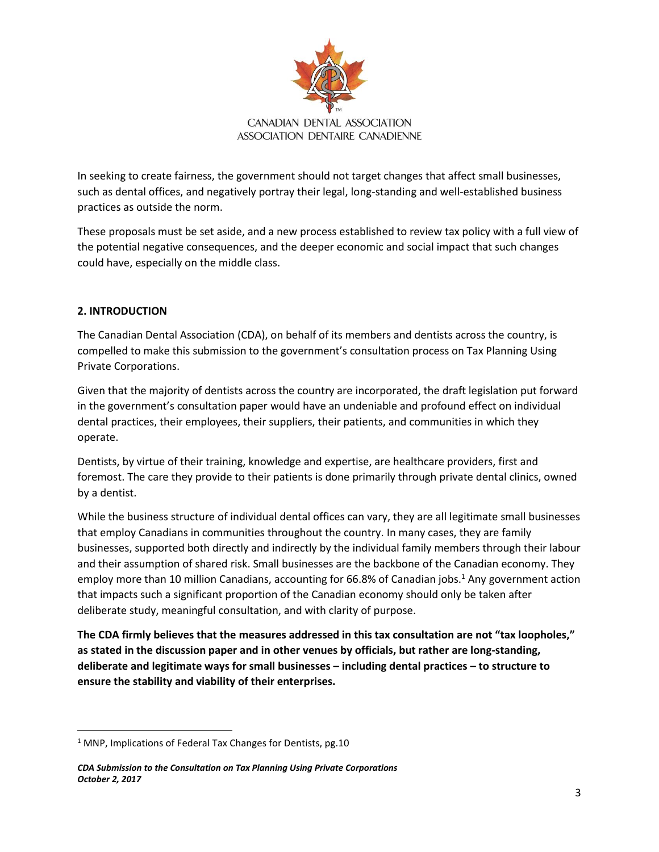

In seeking to create fairness, the government should not target changes that affect small businesses, such as dental offices, and negatively portray their legal, long-standing and well-established business practices as outside the norm.

These proposals must be set aside, and a new process established to review tax policy with a full view of the potential negative consequences, and the deeper economic and social impact that such changes could have, especially on the middle class.

## **2. INTRODUCTION**

 $\overline{a}$ 

The Canadian Dental Association (CDA), on behalf of its members and dentists across the country, is compelled to make this submission to the government's consultation process on Tax Planning Using Private Corporations.

Given that the majority of dentists across the country are incorporated, the draft legislation put forward in the government's consultation paper would have an undeniable and profound effect on individual dental practices, their employees, their suppliers, their patients, and communities in which they operate.

Dentists, by virtue of their training, knowledge and expertise, are healthcare providers, first and foremost. The care they provide to their patients is done primarily through private dental clinics, owned by a dentist.

While the business structure of individual dental offices can vary, they are all legitimate small businesses that employ Canadians in communities throughout the country. In many cases, they are family businesses, supported both directly and indirectly by the individual family members through their labour and their assumption of shared risk. Small businesses are the backbone of the Canadian economy. They employ more than 10 million Canadians, accounting for 66.8% of Canadian jobs.<sup>1</sup> Any government action that impacts such a significant proportion of the Canadian economy should only be taken after deliberate study, meaningful consultation, and with clarity of purpose.

**The CDA firmly believes that the measures addressed in this tax consultation are not "tax loopholes," as stated in the discussion paper and in other venues by officials, but rather are long-standing, deliberate and legitimate ways for small businesses – including dental practices – to structure to ensure the stability and viability of their enterprises.** 

 $1$  MNP, Implications of Federal Tax Changes for Dentists, pg.10

*CDA Submission to the Consultation on Tax Planning Using Private Corporations October 2, 2017*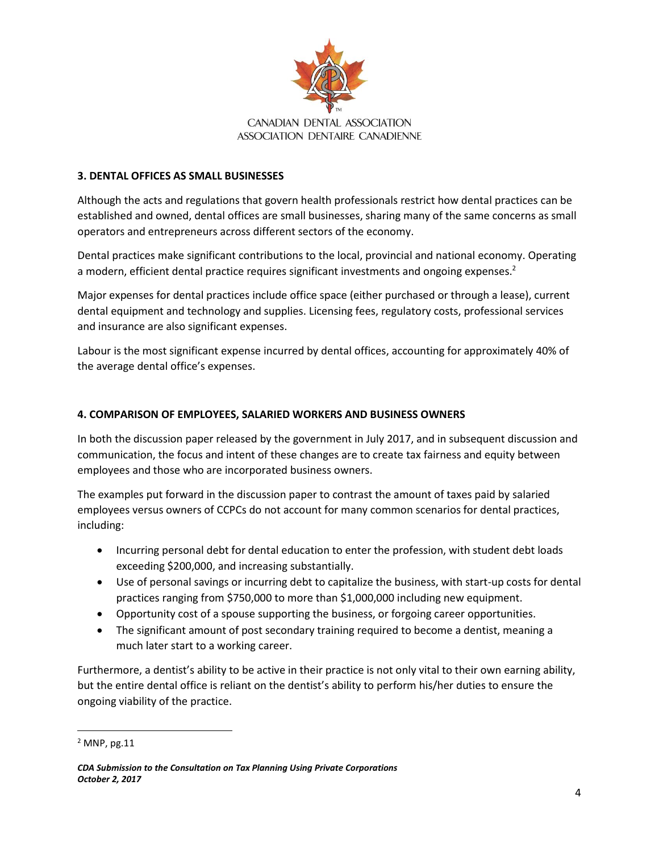

#### **3. DENTAL OFFICES AS SMALL BUSINESSES**

Although the acts and regulations that govern health professionals restrict how dental practices can be established and owned, dental offices are small businesses, sharing many of the same concerns as small operators and entrepreneurs across different sectors of the economy.

Dental practices make significant contributions to the local, provincial and national economy. Operating a modern, efficient dental practice requires significant investments and ongoing expenses.<sup>2</sup>

Major expenses for dental practices include office space (either purchased or through a lease), current dental equipment and technology and supplies. Licensing fees, regulatory costs, professional services and insurance are also significant expenses.

Labour is the most significant expense incurred by dental offices, accounting for approximately 40% of the average dental office's expenses.

#### **4. COMPARISON OF EMPLOYEES, SALARIED WORKERS AND BUSINESS OWNERS**

In both the discussion paper released by the government in July 2017, and in subsequent discussion and communication, the focus and intent of these changes are to create tax fairness and equity between employees and those who are incorporated business owners.

The examples put forward in the discussion paper to contrast the amount of taxes paid by salaried employees versus owners of CCPCs do not account for many common scenarios for dental practices, including:

- Incurring personal debt for dental education to enter the profession, with student debt loads exceeding \$200,000, and increasing substantially.
- Use of personal savings or incurring debt to capitalize the business, with start-up costs for dental practices ranging from \$750,000 to more than \$1,000,000 including new equipment.
- Opportunity cost of a spouse supporting the business, or forgoing career opportunities.
- The significant amount of post secondary training required to become a dentist, meaning a much later start to a working career.

Furthermore, a dentist's ability to be active in their practice is not only vital to their own earning ability, but the entire dental office is reliant on the dentist's ability to perform his/her duties to ensure the ongoing viability of the practice.

 $\overline{a}$ 

<sup>2</sup> MNP, pg.11

*CDA Submission to the Consultation on Tax Planning Using Private Corporations October 2, 2017*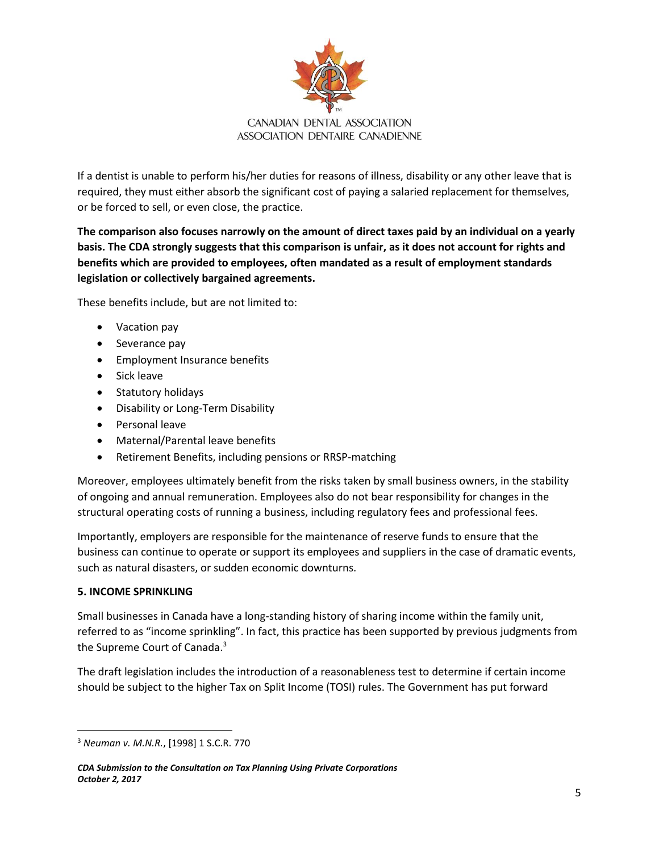

If a dentist is unable to perform his/her duties for reasons of illness, disability or any other leave that is required, they must either absorb the significant cost of paying a salaried replacement for themselves, or be forced to sell, or even close, the practice.

**The comparison also focuses narrowly on the amount of direct taxes paid by an individual on a yearly basis. The CDA strongly suggests that this comparison is unfair, as it does not account for rights and benefits which are provided to employees, often mandated as a result of employment standards legislation or collectively bargained agreements.** 

These benefits include, but are not limited to:

- Vacation pay
- Severance pay
- Employment Insurance benefits
- Sick leave
- Statutory holidays
- Disability or Long-Term Disability
- Personal leave
- Maternal/Parental leave benefits
- Retirement Benefits, including pensions or RRSP-matching

Moreover, employees ultimately benefit from the risks taken by small business owners, in the stability of ongoing and annual remuneration. Employees also do not bear responsibility for changes in the structural operating costs of running a business, including regulatory fees and professional fees.

Importantly, employers are responsible for the maintenance of reserve funds to ensure that the business can continue to operate or support its employees and suppliers in the case of dramatic events, such as natural disasters, or sudden economic downturns.

#### **5. INCOME SPRINKLING**

 $\overline{a}$ 

Small businesses in Canada have a long-standing history of sharing income within the family unit, referred to as "income sprinkling". In fact, this practice has been supported by previous judgments from the Supreme Court of Canada.<sup>3</sup>

The draft legislation includes the introduction of a reasonableness test to determine if certain income should be subject to the higher Tax on Split Income (TOSI) rules. The Government has put forward

<sup>3</sup> *Neuman v. M.N.R.*, [1998] 1 S.C.R. 770

*CDA Submission to the Consultation on Tax Planning Using Private Corporations October 2, 2017*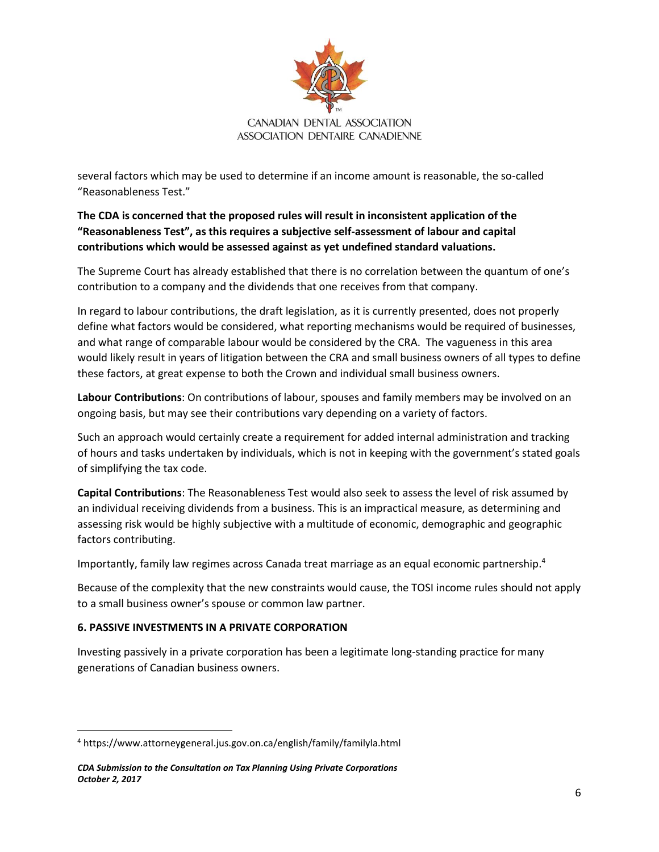

several factors which may be used to determine if an income amount is reasonable, the so-called "Reasonableness Test."

**The CDA is concerned that the proposed rules will result in inconsistent application of the "Reasonableness Test", as this requires a subjective self-assessment of labour and capital contributions which would be assessed against as yet undefined standard valuations.** 

The Supreme Court has already established that there is no correlation between the quantum of one's contribution to a company and the dividends that one receives from that company.

In regard to labour contributions, the draft legislation, as it is currently presented, does not properly define what factors would be considered, what reporting mechanisms would be required of businesses, and what range of comparable labour would be considered by the CRA. The vagueness in this area would likely result in years of litigation between the CRA and small business owners of all types to define these factors, at great expense to both the Crown and individual small business owners.

**Labour Contributions**: On contributions of labour, spouses and family members may be involved on an ongoing basis, but may see their contributions vary depending on a variety of factors.

Such an approach would certainly create a requirement for added internal administration and tracking of hours and tasks undertaken by individuals, which is not in keeping with the government's stated goals of simplifying the tax code.

**Capital Contributions**: The Reasonableness Test would also seek to assess the level of risk assumed by an individual receiving dividends from a business. This is an impractical measure, as determining and assessing risk would be highly subjective with a multitude of economic, demographic and geographic factors contributing.

Importantly, family law regimes across Canada treat marriage as an equal economic partnership. 4

Because of the complexity that the new constraints would cause, the TOSI income rules should not apply to a small business owner's spouse or common law partner.

## **6. PASSIVE INVESTMENTS IN A PRIVATE CORPORATION**

 $\overline{a}$ 

Investing passively in a private corporation has been a legitimate long-standing practice for many generations of Canadian business owners.

<sup>4</sup> https://www.attorneygeneral.jus.gov.on.ca/english/family/familyla.html

*CDA Submission to the Consultation on Tax Planning Using Private Corporations October 2, 2017*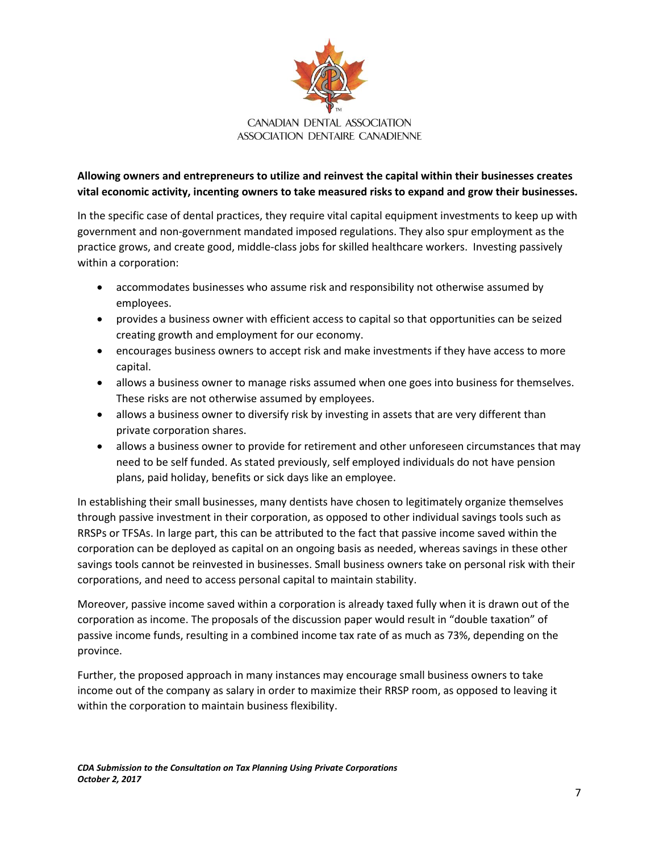

## **Allowing owners and entrepreneurs to utilize and reinvest the capital within their businesses creates vital economic activity, incenting owners to take measured risks to expand and grow their businesses.**

In the specific case of dental practices, they require vital capital equipment investments to keep up with government and non-government mandated imposed regulations. They also spur employment as the practice grows, and create good, middle-class jobs for skilled healthcare workers. Investing passively within a corporation:

- accommodates businesses who assume risk and responsibility not otherwise assumed by employees.
- provides a business owner with efficient access to capital so that opportunities can be seized creating growth and employment for our economy.
- encourages business owners to accept risk and make investments if they have access to more capital.
- allows a business owner to manage risks assumed when one goes into business for themselves. These risks are not otherwise assumed by employees.
- allows a business owner to diversify risk by investing in assets that are very different than private corporation shares.
- allows a business owner to provide for retirement and other unforeseen circumstances that may need to be self funded. As stated previously, self employed individuals do not have pension plans, paid holiday, benefits or sick days like an employee.

In establishing their small businesses, many dentists have chosen to legitimately organize themselves through passive investment in their corporation, as opposed to other individual savings tools such as RRSPs or TFSAs. In large part, this can be attributed to the fact that passive income saved within the corporation can be deployed as capital on an ongoing basis as needed, whereas savings in these other savings tools cannot be reinvested in businesses. Small business owners take on personal risk with their corporations, and need to access personal capital to maintain stability.

Moreover, passive income saved within a corporation is already taxed fully when it is drawn out of the corporation as income. The proposals of the discussion paper would result in "double taxation" of passive income funds, resulting in a combined income tax rate of as much as 73%, depending on the province.

Further, the proposed approach in many instances may encourage small business owners to take income out of the company as salary in order to maximize their RRSP room, as opposed to leaving it within the corporation to maintain business flexibility.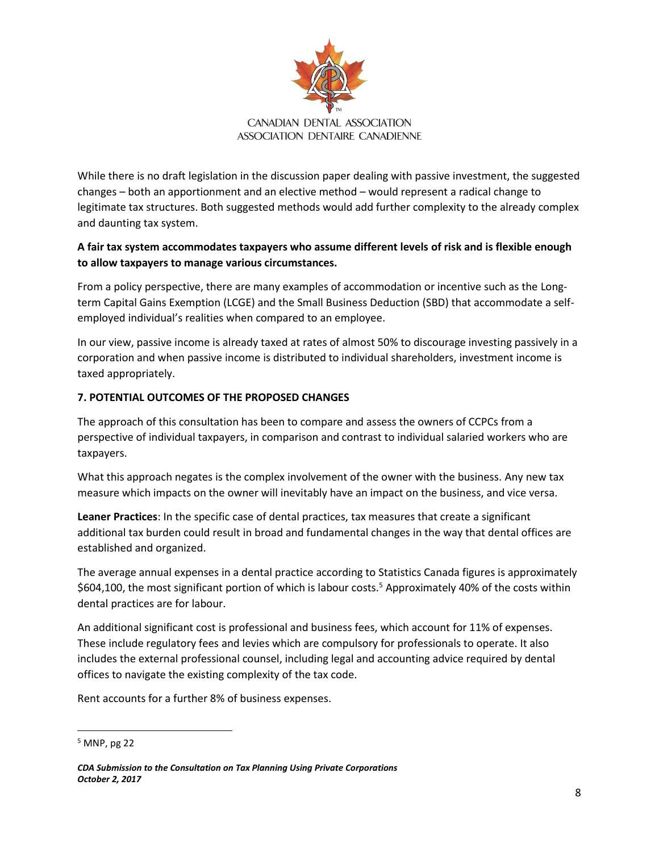

While there is no draft legislation in the discussion paper dealing with passive investment, the suggested changes – both an apportionment and an elective method – would represent a radical change to legitimate tax structures. Both suggested methods would add further complexity to the already complex and daunting tax system.

## **A fair tax system accommodates taxpayers who assume different levels of risk and is flexible enough to allow taxpayers to manage various circumstances.**

From a policy perspective, there are many examples of accommodation or incentive such as the Longterm Capital Gains Exemption (LCGE) and the Small Business Deduction (SBD) that accommodate a selfemployed individual's realities when compared to an employee.

In our view, passive income is already taxed at rates of almost 50% to discourage investing passively in a corporation and when passive income is distributed to individual shareholders, investment income is taxed appropriately.

## **7. POTENTIAL OUTCOMES OF THE PROPOSED CHANGES**

The approach of this consultation has been to compare and assess the owners of CCPCs from a perspective of individual taxpayers, in comparison and contrast to individual salaried workers who are taxpayers.

What this approach negates is the complex involvement of the owner with the business. Any new tax measure which impacts on the owner will inevitably have an impact on the business, and vice versa.

**Leaner Practices**: In the specific case of dental practices, tax measures that create a significant additional tax burden could result in broad and fundamental changes in the way that dental offices are established and organized.

The average annual expenses in a dental practice according to Statistics Canada figures is approximately \$604,100, the most significant portion of which is labour costs.<sup>5</sup> Approximately 40% of the costs within dental practices are for labour.

An additional significant cost is professional and business fees, which account for 11% of expenses. These include regulatory fees and levies which are compulsory for professionals to operate. It also includes the external professional counsel, including legal and accounting advice required by dental offices to navigate the existing complexity of the tax code.

Rent accounts for a further 8% of business expenses.

 $\overline{a}$ 

<sup>5</sup> MNP, pg 22

*CDA Submission to the Consultation on Tax Planning Using Private Corporations October 2, 2017*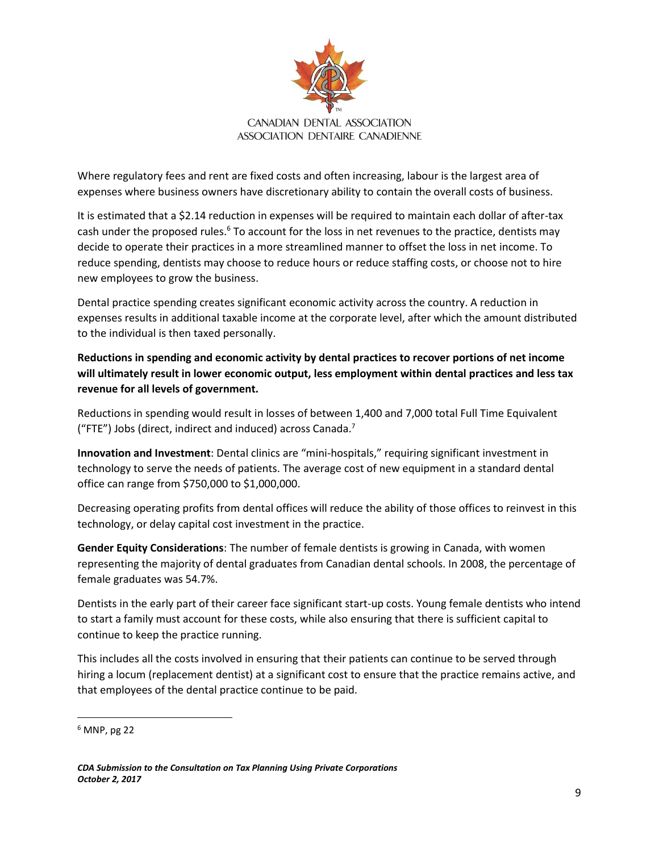

Where regulatory fees and rent are fixed costs and often increasing, labour is the largest area of expenses where business owners have discretionary ability to contain the overall costs of business.

It is estimated that a \$2.14 reduction in expenses will be required to maintain each dollar of after-tax cash under the proposed rules.<sup>6</sup> To account for the loss in net revenues to the practice, dentists may decide to operate their practices in a more streamlined manner to offset the loss in net income. To reduce spending, dentists may choose to reduce hours or reduce staffing costs, or choose not to hire new employees to grow the business.

Dental practice spending creates significant economic activity across the country. A reduction in expenses results in additional taxable income at the corporate level, after which the amount distributed to the individual is then taxed personally.

**Reductions in spending and economic activity by dental practices to recover portions of net income will ultimately result in lower economic output, less employment within dental practices and less tax revenue for all levels of government.**

Reductions in spending would result in losses of between 1,400 and 7,000 total Full Time Equivalent ("FTE") Jobs (direct, indirect and induced) across Canada.<sup>7</sup>

**Innovation and Investment**: Dental clinics are "mini-hospitals," requiring significant investment in technology to serve the needs of patients. The average cost of new equipment in a standard dental office can range from \$750,000 to \$1,000,000.

Decreasing operating profits from dental offices will reduce the ability of those offices to reinvest in this technology, or delay capital cost investment in the practice.

**Gender Equity Considerations**: The number of female dentists is growing in Canada, with women representing the majority of dental graduates from Canadian dental schools. In 2008, the percentage of female graduates was 54.7%.

Dentists in the early part of their career face significant start-up costs. Young female dentists who intend to start a family must account for these costs, while also ensuring that there is sufficient capital to continue to keep the practice running.

This includes all the costs involved in ensuring that their patients can continue to be served through hiring a locum (replacement dentist) at a significant cost to ensure that the practice remains active, and that employees of the dental practice continue to be paid.

 $\overline{\phantom{a}}$ 

 $6$  MNP, pg 22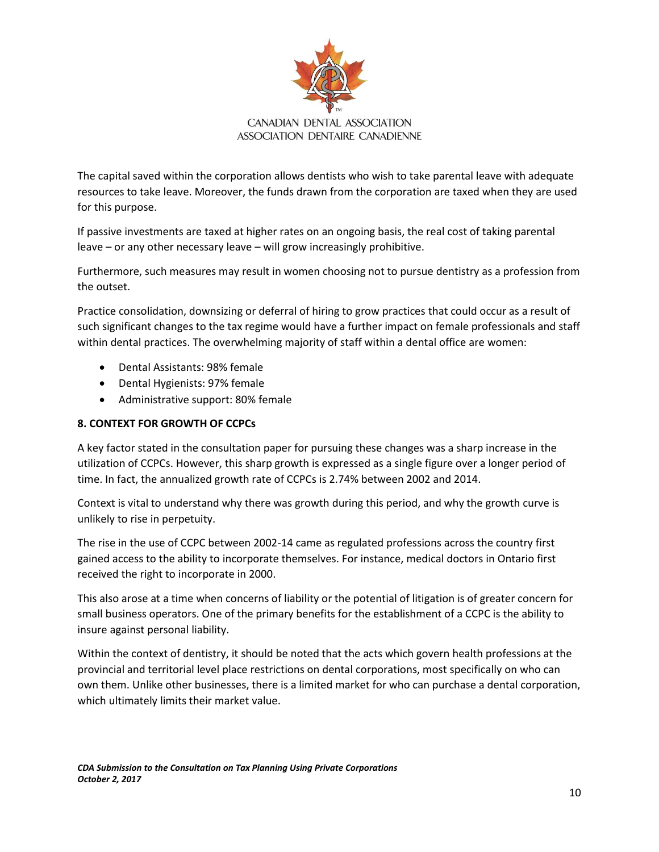

The capital saved within the corporation allows dentists who wish to take parental leave with adequate resources to take leave. Moreover, the funds drawn from the corporation are taxed when they are used for this purpose.

If passive investments are taxed at higher rates on an ongoing basis, the real cost of taking parental leave – or any other necessary leave – will grow increasingly prohibitive.

Furthermore, such measures may result in women choosing not to pursue dentistry as a profession from the outset.

Practice consolidation, downsizing or deferral of hiring to grow practices that could occur as a result of such significant changes to the tax regime would have a further impact on female professionals and staff within dental practices. The overwhelming majority of staff within a dental office are women:

- Dental Assistants: 98% female
- Dental Hygienists: 97% female
- Administrative support: 80% female

## **8. CONTEXT FOR GROWTH OF CCPCs**

A key factor stated in the consultation paper for pursuing these changes was a sharp increase in the utilization of CCPCs. However, this sharp growth is expressed as a single figure over a longer period of time. In fact, the annualized growth rate of CCPCs is 2.74% between 2002 and 2014.

Context is vital to understand why there was growth during this period, and why the growth curve is unlikely to rise in perpetuity.

The rise in the use of CCPC between 2002-14 came as regulated professions across the country first gained access to the ability to incorporate themselves. For instance, medical doctors in Ontario first received the right to incorporate in 2000.

This also arose at a time when concerns of liability or the potential of litigation is of greater concern for small business operators. One of the primary benefits for the establishment of a CCPC is the ability to insure against personal liability.

Within the context of dentistry, it should be noted that the acts which govern health professions at the provincial and territorial level place restrictions on dental corporations, most specifically on who can own them. Unlike other businesses, there is a limited market for who can purchase a dental corporation, which ultimately limits their market value.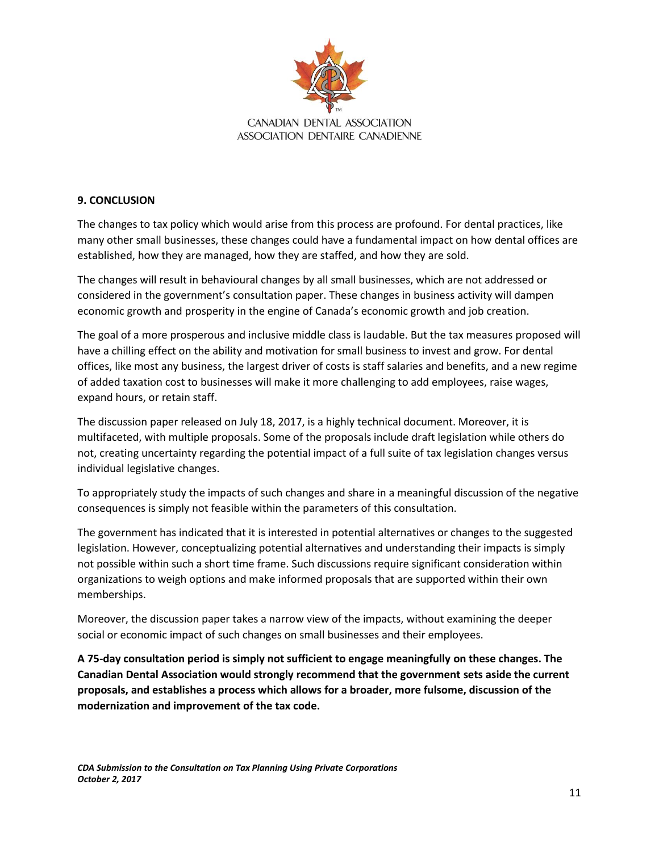

### **9. CONCLUSION**

The changes to tax policy which would arise from this process are profound. For dental practices, like many other small businesses, these changes could have a fundamental impact on how dental offices are established, how they are managed, how they are staffed, and how they are sold.

The changes will result in behavioural changes by all small businesses, which are not addressed or considered in the government's consultation paper. These changes in business activity will dampen economic growth and prosperity in the engine of Canada's economic growth and job creation.

The goal of a more prosperous and inclusive middle class is laudable. But the tax measures proposed will have a chilling effect on the ability and motivation for small business to invest and grow. For dental offices, like most any business, the largest driver of costs is staff salaries and benefits, and a new regime of added taxation cost to businesses will make it more challenging to add employees, raise wages, expand hours, or retain staff.

The discussion paper released on July 18, 2017, is a highly technical document. Moreover, it is multifaceted, with multiple proposals. Some of the proposals include draft legislation while others do not, creating uncertainty regarding the potential impact of a full suite of tax legislation changes versus individual legislative changes.

To appropriately study the impacts of such changes and share in a meaningful discussion of the negative consequences is simply not feasible within the parameters of this consultation.

The government has indicated that it is interested in potential alternatives or changes to the suggested legislation. However, conceptualizing potential alternatives and understanding their impacts is simply not possible within such a short time frame. Such discussions require significant consideration within organizations to weigh options and make informed proposals that are supported within their own memberships.

Moreover, the discussion paper takes a narrow view of the impacts, without examining the deeper social or economic impact of such changes on small businesses and their employees.

**A 75-day consultation period is simply not sufficient to engage meaningfully on these changes. The Canadian Dental Association would strongly recommend that the government sets aside the current proposals, and establishes a process which allows for a broader, more fulsome, discussion of the modernization and improvement of the tax code.**